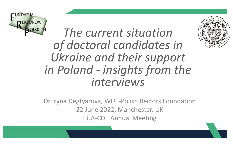

*The current situation of doctoral candidates in Ukraine and their support in Poland - insights from the interviews* 

Dr Iryna Degtyarova, WUT-Polish Rectors Foundation 22 June 2022, Manchester, UK EUA-CDE Annual Meeting

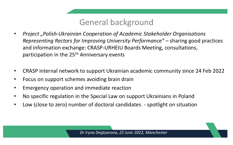# General background

- *Project "Polish-Ukrainian Cooperation of Academic Stakeholder Organisations Representing Rectors for Improving University Performance"* – sharing good practices and information exchange: CRASP-URHEIU Boards Meeting, consultations, participation in the 25<sup>th</sup> Anniversary events
- CRASP internal network to support Ukrainian academic community since 24 Feb 2022
- Focus on support schemes avoiding brain drain
- Emergency operation and immediate reaction
- No specific regulation in the Special Law on support Ukrainians in Poland
- Low (close to zero) number of doctoral candidates spotlight on situation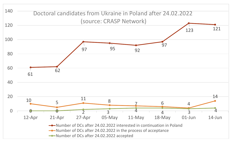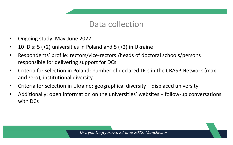## Data collection

- Ongoing study: May-June 2022
- 10 IDIs: 5 (+2) universities in Poland and 5 (+2) in Ukraine
- Respondents' profile: rectors/vice-rectors /heads of doctoral schools/persons responsible for delivering support for DCs
- Criteria for selection in Poland: number of declared DCs in the CRASP Network (max and zero), institutional diversity
- Criteria for selection in Ukraine: geographical diversity + displaced university
- Additionally: open information on the universities' websites + follow-up conversations with DCs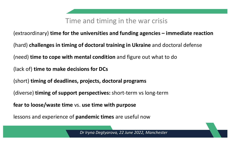### Time and timing in the war crisis

(extraordinary) **time for the universities and funding agencies – immediate reaction**

(hard) **challenges in timing of doctoral training in Ukraine** and doctoral defense

(need) **time to cope with mental condition** and figure out what to do

(lack of) **time to make decisions for DCs**

(short) **timing of deadlines, projects, doctoral programs**

(diverse) **timing of support perspectives:** short-term vs long-term

**fear to loose/waste time** vs. **use time with purpose**

lessons and experience of **pandemic times** are useful now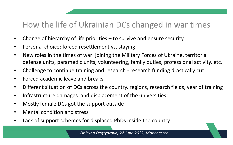# How the life of Ukrainian DCs changed in war times

- Change of hierarchy of life priorities to survive and ensure security
- Personal choice: forced resettlement vs. staying
- New roles in the times of war: joining the Military Forces of Ukraine, territorial defense units, paramedic units, volunteering, family duties, professional activity, etc.
- Challenge to continue training and research research funding drastically cut
- Forced academic leave and breaks
- Different situation of DCs across the country, regions, research fields, year of training
- Infrastructure damages and displacement of the universities
- Mostly female DCs got the support outside
- Mental condition and stress
- Lack of support schemes for displaced PhDs inside the country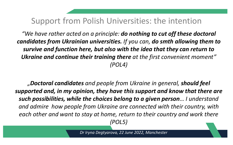## Support from Polish Universities: the intention

*"We have rather acted on a principle: do nothing to cut off these doctoral candidates from Ukrainian universities. If you can, do smth allowing them to survive and function here, but also with the idea that they can return to Ukraine and continue their training there at the first convenient moment" (POL4)*

*"Doctoral candidates and people from Ukraine in general, should feel supported and, in my opinion, they have this support and know that there are such possibilities, while the choices belong to a given person… I understand and admire how people from Ukraine are connected with their country, with each other and want to stay at home, return to their country and work there (POL5)*

*Dr Iryna Degtyarova, 22 June 2022, Manchester*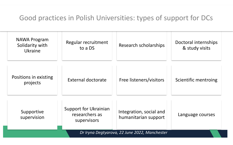#### Good practices in Polish Universities: types of support for DCs

| NAWA Program<br>Solidarity with<br>Ukraine    | Regular recruitment<br>to a DS                         | Research scholarships                           | Doctoral internships<br>& study visits |  |
|-----------------------------------------------|--------------------------------------------------------|-------------------------------------------------|----------------------------------------|--|
| Positions in existing<br>projects             | External doctorate                                     | Free listeners/visitors                         | Scientific mentroing                   |  |
| Supportive<br>supervision                     | Support for Ukrainian<br>researchers as<br>supervisors | Integration, social and<br>humanitarian support | Language courses                       |  |
| Dr Iryna Degtyarova, 22 June 2022, Manchester |                                                        |                                                 |                                        |  |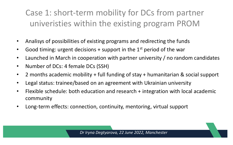# Case 1: short-term mobility for DCs from partner univeristies within the existing program PROM

- Analisys of possibilities of existing programs and redirecting the funds
- Good timing: urgent decisions  $+$  support in the 1st period of the war
- Launched in March in cooperation with partner university / no random candidates
- Number of DCs: 4 female DCs (SSH)
- 2 months academic mobility + full funding of stay + humanitarian & social support
- Legal status: trainee/based on an agreement with Ukrainian university
- Flexible schedule: both education and research + integration with local academic community
- Long-term effects: connection, continuity, mentoring, virtual support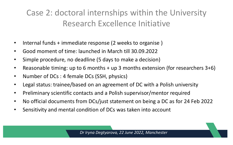# Case 2: doctoral internships within the University Research Excellence Initiative

- Internal funds + immediate response (2 weeks to organise )
- Good moment of time: launched in March till 30.09.2022
- Simple procedure, no deadline (5 days to make a decision)
- Reasonable timing: up to 6 months + up 3 months extension (for researchers 3+6)
- Number of DCs : 4 female DCs (SSH, physics)
- Legal status: trainee/based on an agreement of DC with a Polish university
- Preliminary scientific contacts and a Polish supervisor/mentor required
- No official documents from DCs/just statement on being a DC as for 24 Feb 2022
- Sensitivity and mental condition of DCs was taken into account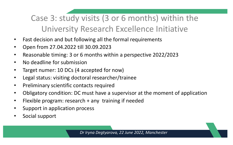Case 3: study visits (3 or 6 months) within the University Research Excellence Initiative

- Fast decision and but following all the formal requirements
- Open from 27.04.2022 till 30.09.2023
- Reasonable timing: 3 or 6 months within a perspective 2022/2023
- No deadline for submission
- Target numer: 10 DCs (4 accepted for now)
- Legal status: visiting doctoral researcher/trainee
- Preliminary scientific contacts required
- Obligatory condition: DC must have a supervisor at the moment of application
- Flexible program: research + any training if needed
- Support in application process
- Social support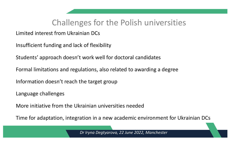# Challenges for the Polish universities

#### Limited interest from Ukrainian DCs

Insufficient funding and lack of flexibility

Students' approach doesn't work well for doctoral candidates

Formal limitations and regulations, also related to awarding a degree

Information doesn't reach the target group

Language challenges

More initiative from the Ukrainian universities needed

Time for adaptation, integration in a new academic environment for Ukrainian DCs

*Dr Iryna Degtyarova, 22 June 2022, Manchester*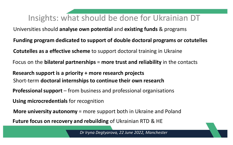# Insights: what should be done for Ukrainian DT

Universities should **analyse own potential** and **existing funds** & programs

**Funding program dedicated to support of double doctoral programs or cotutelles Cotutelles as a effective scheme** to support doctoral training in Ukraine Focus on the **bilateral partnerships** = **more trust and reliability** in the contacts **Research support is a priority + more research projects** Short-term **doctoral internships to continue their own research Professional support** – from business and professional organisations **Using microcredentials** for recognition **Future focus on recovery and rebuilding** of Ukrainian RTD & HE **More university autonomy** = more support both in Ukraine and Poland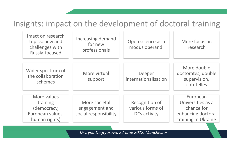# Insights: impact on the development of doctoral training

| Imact on research<br>topics: new and<br>challenges with<br>Russia-focused   | Increasing demand<br>for new<br>professionals            | Open science as a<br>modus operandi                | More focus on<br>research                                                                |
|-----------------------------------------------------------------------------|----------------------------------------------------------|----------------------------------------------------|------------------------------------------------------------------------------------------|
| Wider spectrum of<br>the collaboration<br>schemes                           | More virtual<br>support                                  | Deeper<br>internationalisation                     | More double<br>doctorates, double<br>supervision,<br>cotutelles                          |
| More values<br>training<br>(democracy,<br>European values,<br>human rights) | More societal<br>engagement and<br>social responsibility | Recognition of<br>various forms of<br>DCs activity | European<br>Universities as a<br>chance for<br>enhancing doctoral<br>training in Ukraine |

*Dr Iryna Degtyarova, 22 June 2022, Manchester*